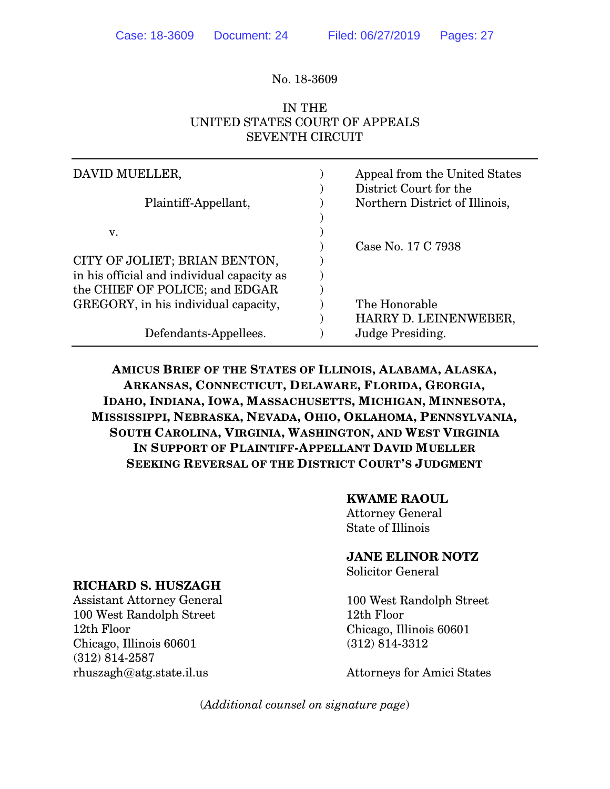#### No. 18-3609

## IN THE UNITED STATES COURT OF APPEALS SEVENTH CIRCUIT

| DAVID MUELLER,                             | Appeal from the United States<br>District Court for the |
|--------------------------------------------|---------------------------------------------------------|
| Plaintiff-Appellant,                       | Northern District of Illinois,                          |
| v.                                         |                                                         |
|                                            | Case No. 17 C 7938                                      |
| CITY OF JOLIET; BRIAN BENTON,              |                                                         |
| in his official and individual capacity as |                                                         |
| the CHIEF OF POLICE; and EDGAR             |                                                         |
| GREGORY, in his individual capacity,       | The Honorable                                           |
|                                            | HARRY D. LEINENWEBER,                                   |
| Defendants-Appellees.                      | Judge Presiding.                                        |

**AMICUS BRIEF OF THE STATES OF ILLINOIS, ALABAMA, ALASKA, ARKANSAS, CONNECTICUT, DELAWARE, FLORIDA, GEORGIA, IDAHO, INDIANA, IOWA, MASSACHUSETTS, MICHIGAN, MINNESOTA, MISSISSIPPI, NEBRASKA, NEVADA, OHIO, OKLAHOMA, PENNSYLVANIA, SOUTH CAROLINA, VIRGINIA, WASHINGTON, AND WEST VIRGINIA IN SUPPORT OF PLAINTIFF-APPELLANT DAVID MUELLER SEEKING REVERSAL OF THE DISTRICT COURT'S JUDGMENT**

#### **KWAME RAOUL**

Attorney General State of Illinois

**JANE ELINOR NOTZ**

Solicitor General

100 West Randolph Street 12th Floor Chicago, Illinois 60601 (312) 814-3312

Attorneys for Amici States

(*Additional counsel on signature page*)

### **RICHARD S. HUSZAGH**

Assistant Attorney General 100 West Randolph Street 12th Floor Chicago, Illinois 60601 (312) 814-2587 rhuszagh@atg.state.il.us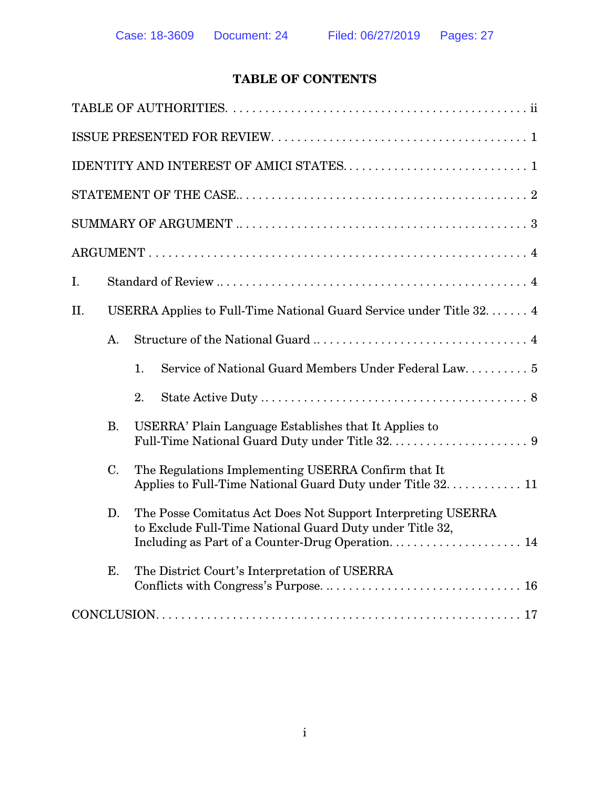## **TABLE OF CONTENTS**

| Ι.                                                                                                                             |
|--------------------------------------------------------------------------------------------------------------------------------|
| USERRA Applies to Full-Time National Guard Service under Title 32. 4<br>Η.                                                     |
| A.                                                                                                                             |
| Service of National Guard Members Under Federal Law 5<br>1.                                                                    |
| 2.                                                                                                                             |
| USERRA' Plain Language Establishes that It Applies to<br><b>B.</b>                                                             |
| C.<br>The Regulations Implementing USERRA Confirm that It<br>Applies to Full-Time National Guard Duty under Title 32. 11       |
| The Posse Comitatus Act Does Not Support Interpreting USERRA<br>D.<br>to Exclude Full-Time National Guard Duty under Title 32, |
| Ε.<br>The District Court's Interpretation of USERRA                                                                            |
|                                                                                                                                |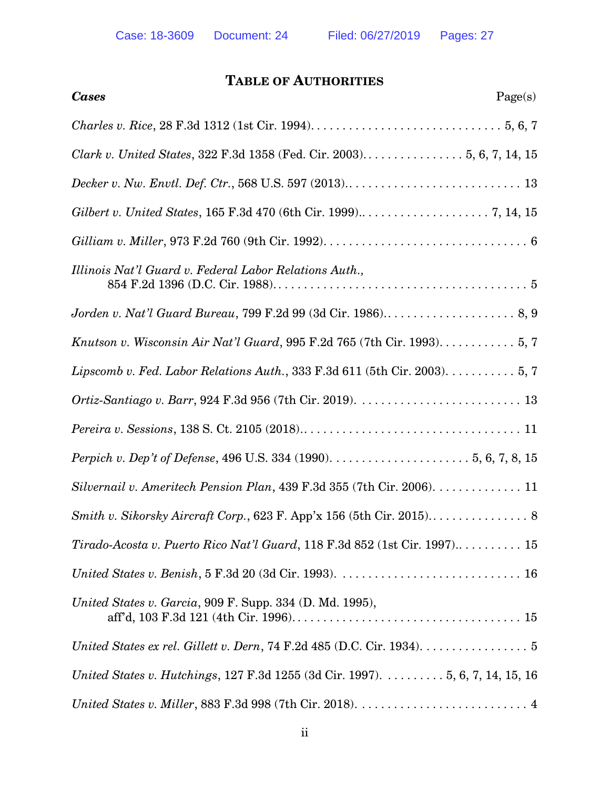# **TABLE OF AUTHORITIES**

| Page(s)<br><b>Cases</b>                                                                                |
|--------------------------------------------------------------------------------------------------------|
|                                                                                                        |
|                                                                                                        |
|                                                                                                        |
|                                                                                                        |
|                                                                                                        |
| Illinois Nat'l Guard v. Federal Labor Relations Auth.,                                                 |
|                                                                                                        |
| Knutson v. Wisconsin Air Nat'l Guard, 995 F.2d 765 (7th Cir. 1993). $\dots \dots \dots 5, 7$           |
| Lipscomb v. Fed. Labor Relations Auth., 333 F.3d 611 (5th Cir. 2003). $\dots \dots \dots 5, 7$         |
|                                                                                                        |
|                                                                                                        |
|                                                                                                        |
| Silvernail v. Ameritech Pension Plan, $439$ F.3d $355$ (7th Cir. 2006). 11                             |
| Smith v. Sikorsky Aircraft Corp., 623 F. App'x 156 (5th Cir. 2015) 8                                   |
|                                                                                                        |
|                                                                                                        |
| United States v. Garcia, 909 F. Supp. 334 (D. Md. 1995),                                               |
| United States ex rel. Gillett v. Dern, 74 F.2d 485 (D.C. Cir. 1934). $\dots \dots \dots \dots \dots$ 5 |
| United States v. Hutchings, 127 F.3d 1255 (3d Cir. 1997). 5, 6, 7, 14, 15, 16                          |
|                                                                                                        |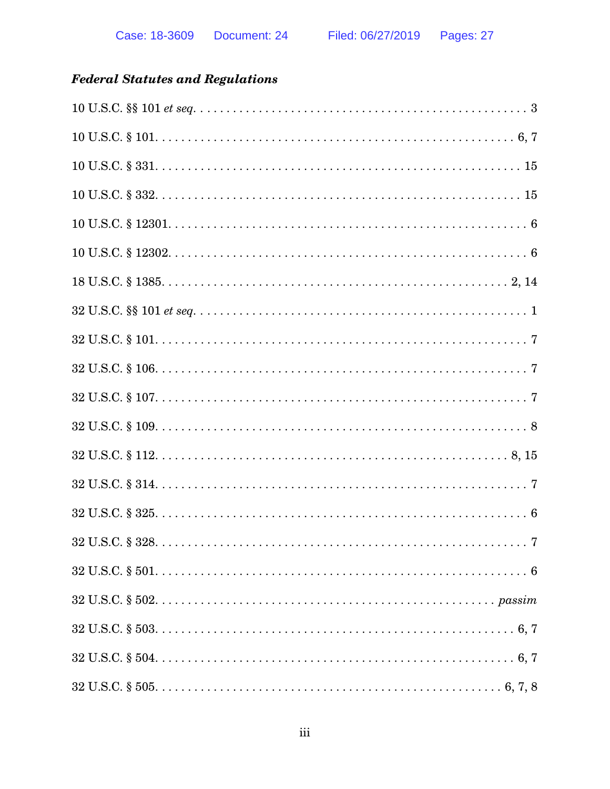# **Federal Statutes and Regulations**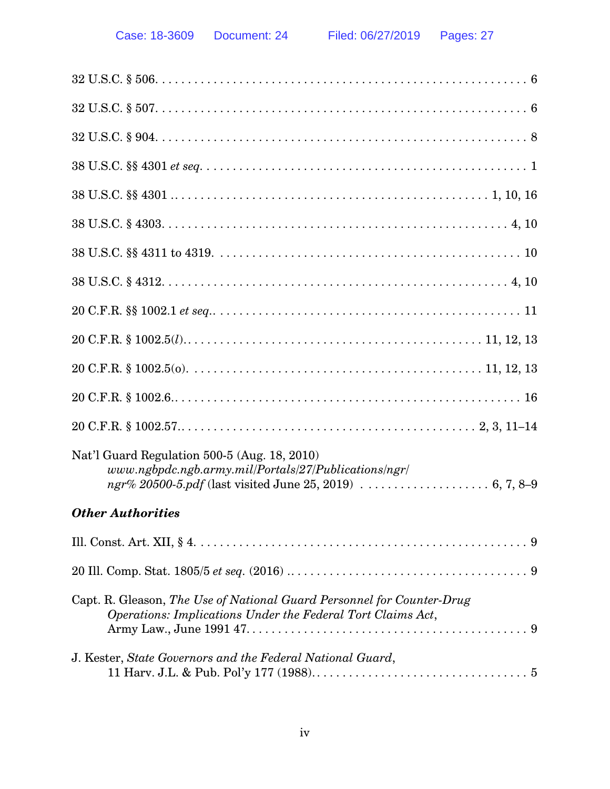| Nat'l Guard Regulation 500-5 (Aug. 18, 2010)<br>$www.ngbpdc.ngb.army.mil/Portals/27/Publications/ngr/$                                |
|---------------------------------------------------------------------------------------------------------------------------------------|
| <b>Other Authorities</b>                                                                                                              |
|                                                                                                                                       |
|                                                                                                                                       |
| Capt. R. Gleason, The Use of National Guard Personnel for Counter-Drug<br>Operations: Implications Under the Federal Tort Claims Act, |
| J. Kester, State Governors and the Federal National Guard,                                                                            |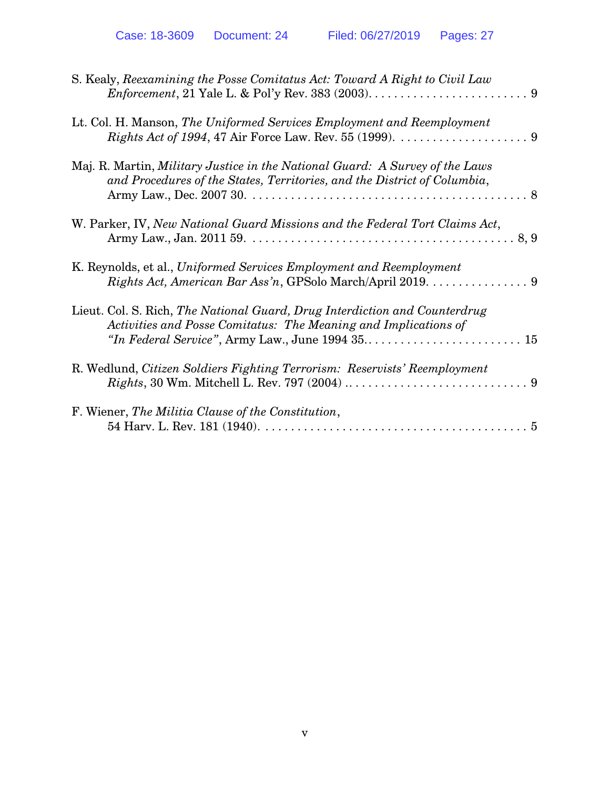| S. Kealy, Reexamining the Posse Comitatus Act: Toward A Right to Civil Law                                                                               |
|----------------------------------------------------------------------------------------------------------------------------------------------------------|
| Lt. Col. H. Manson, The Uniformed Services Employment and Reemployment                                                                                   |
| Maj. R. Martin, Military Justice in the National Guard: A Survey of the Laws<br>and Procedures of the States, Territories, and the District of Columbia, |
| W. Parker, IV, New National Guard Missions and the Federal Tort Claims Act,                                                                              |
| K. Reynolds, et al., Uniformed Services Employment and Reemployment<br>Rights Act, American Bar Ass'n, GPSolo March/April 2019.  9                       |
| Lieut. Col. S. Rich, The National Guard, Drug Interdiction and Counterdrug<br>Activities and Posse Comitatus: The Meaning and Implications of            |
| R. Wedlund, Citizen Soldiers Fighting Terrorism: Reservists' Reemployment                                                                                |
| F. Wiener, The Militia Clause of the Constitution,                                                                                                       |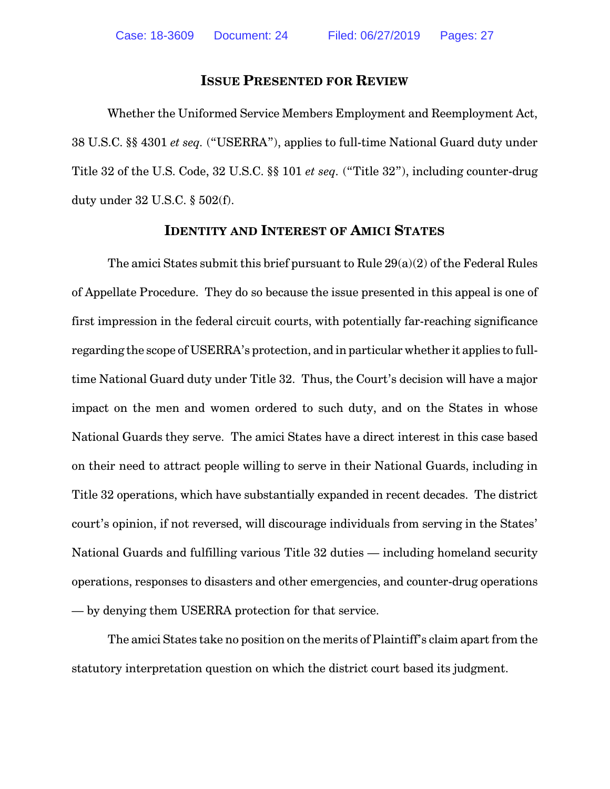#### **ISSUE PRESENTED FOR REVIEW**

Whether the Uniformed Service Members Employment and Reemployment Act, 38 U.S.C. §§ 4301 *et seq.* ("USERRA"), applies to full-time National Guard duty under Title 32 of the U.S. Code, 32 U.S.C. §§ 101 *et seq.* ("Title 32"), including counter-drug duty under 32 U.S.C. § 502(f).

#### **IDENTITY AND INTEREST OF AMICI STATES**

The amici States submit this brief pursuant to Rule 29(a)(2) of the Federal Rules of Appellate Procedure. They do so because the issue presented in this appeal is one of first impression in the federal circuit courts, with potentially far-reaching significance regarding the scope of USERRA's protection, and in particular whether it applies to fulltime National Guard duty under Title 32. Thus, the Court's decision will have a major impact on the men and women ordered to such duty, and on the States in whose National Guards they serve. The amici States have a direct interest in this case based on their need to attract people willing to serve in their National Guards, including in Title 32 operations, which have substantially expanded in recent decades. The district court's opinion, if not reversed, will discourage individuals from serving in the States' National Guards and fulfilling various Title 32 duties — including homeland security operations, responses to disasters and other emergencies, and counter-drug operations — by denying them USERRA protection for that service.

The amici States take no position on the merits of Plaintiff's claim apart from the statutory interpretation question on which the district court based its judgment.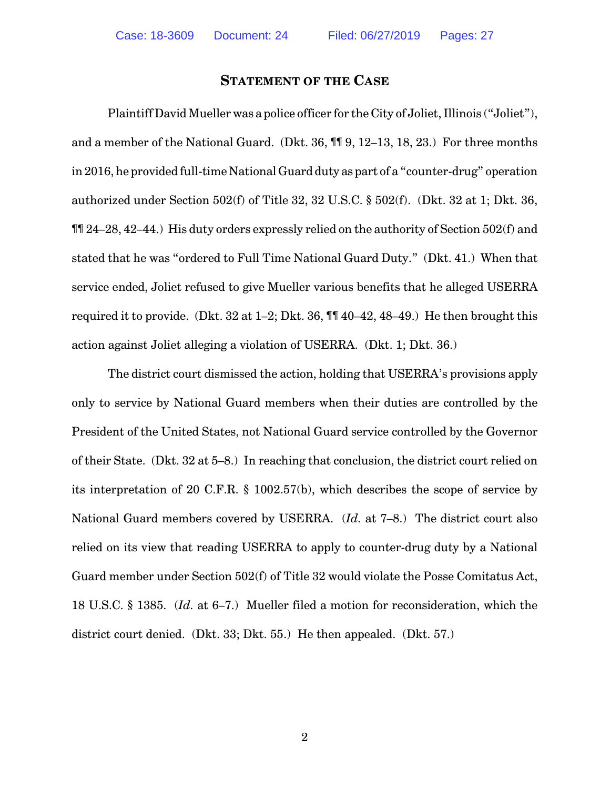#### **STATEMENT OF THE CASE**

Plaintiff David Mueller was a police officer for the City of Joliet, Illinois ("Joliet"), and a member of the National Guard. (Dkt. 36, ¶¶ 9, 12–13, 18, 23.) For three months in 2016, he provided full-time National Guard duty as part of a "counter-drug" operation authorized under Section 502(f) of Title 32, 32 U.S.C. § 502(f). (Dkt. 32 at 1; Dkt. 36, ¶¶ 24–28, 42–44.) His duty orders expressly relied on the authority of Section 502(f) and stated that he was "ordered to Full Time National Guard Duty." (Dkt. 41.) When that service ended, Joliet refused to give Mueller various benefits that he alleged USERRA required it to provide. (Dkt. 32 at 1–2; Dkt. 36, ¶¶ 40–42, 48–49.) He then brought this action against Joliet alleging a violation of USERRA. (Dkt. 1; Dkt. 36.)

The district court dismissed the action, holding that USERRA's provisions apply only to service by National Guard members when their duties are controlled by the President of the United States, not National Guard service controlled by the Governor of their State. (Dkt. 32 at 5–8.) In reaching that conclusion, the district court relied on its interpretation of 20 C.F.R. § 1002.57(b), which describes the scope of service by National Guard members covered by USERRA. (*Id.* at 7–8.) The district court also relied on its view that reading USERRA to apply to counter-drug duty by a National Guard member under Section 502(f) of Title 32 would violate the Posse Comitatus Act, 18 U.S.C. § 1385. (*Id.* at 6–7.) Mueller filed a motion for reconsideration, which the district court denied. (Dkt. 33; Dkt. 55.) He then appealed. (Dkt. 57.)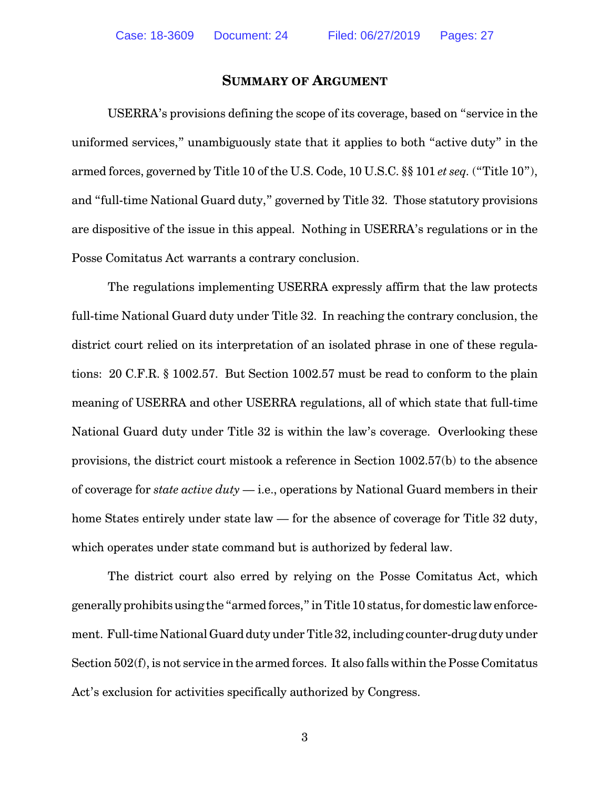#### **SUMMARY OF ARGUMENT**

USERRA's provisions defining the scope of its coverage, based on "service in the uniformed services," unambiguously state that it applies to both "active duty" in the armed forces, governed by Title 10 of the U.S. Code, 10 U.S.C. §§ 101 *et seq.* ("Title 10"), and "full-time National Guard duty," governed by Title 32. Those statutory provisions are dispositive of the issue in this appeal. Nothing in USERRA's regulations or in the Posse Comitatus Act warrants a contrary conclusion.

The regulations implementing USERRA expressly affirm that the law protects full-time National Guard duty under Title 32. In reaching the contrary conclusion, the district court relied on its interpretation of an isolated phrase in one of these regulations: 20 C.F.R. § 1002.57. But Section 1002.57 must be read to conform to the plain meaning of USERRA and other USERRA regulations, all of which state that full-time National Guard duty under Title 32 is within the law's coverage. Overlooking these provisions, the district court mistook a reference in Section 1002.57(b) to the absence of coverage for *state active duty* — i.e., operations by National Guard members in their home States entirely under state law — for the absence of coverage for Title 32 duty, which operates under state command but is authorized by federal law.

The district court also erred by relying on the Posse Comitatus Act, which generally prohibits using the "armed forces," in Title 10 status, for domestic law enforcement. Full-time National Guard duty under Title 32, including counter-drug duty under Section 502(f), is not service in the armed forces. It also falls within the Posse Comitatus Act's exclusion for activities specifically authorized by Congress.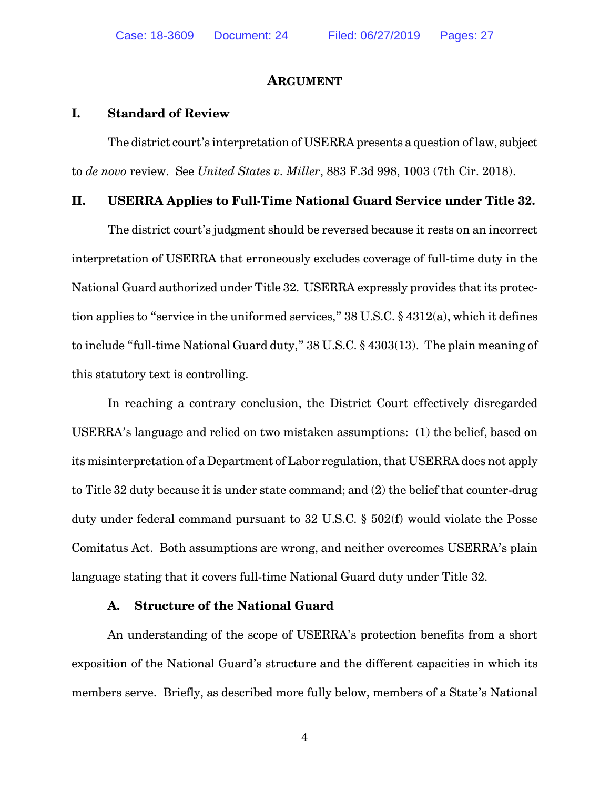#### **ARGUMENT**

#### **I. Standard of Review**

The district court's interpretation of USERRA presents a question of law, subject to *de novo* review. See *United States v. Miller*, 883 F.3d 998, 1003 (7th Cir. 2018).

#### **II. USERRA Applies to Full-Time National Guard Service under Title 32.**

The district court's judgment should be reversed because it rests on an incorrect interpretation of USERRA that erroneously excludes coverage of full-time duty in the National Guard authorized under Title 32. USERRA expressly provides that its protection applies to "service in the uniformed services," 38 U.S.C. § 4312(a), which it defines to include "full-time National Guard duty," 38 U.S.C. § 4303(13). The plain meaning of this statutory text is controlling.

In reaching a contrary conclusion, the District Court effectively disregarded USERRA's language and relied on two mistaken assumptions: (1) the belief, based on its misinterpretation of a Department of Labor regulation, that USERRA does not apply to Title 32 duty because it is under state command; and (2) the belief that counter-drug duty under federal command pursuant to 32 U.S.C. § 502(f) would violate the Posse Comitatus Act. Both assumptions are wrong, and neither overcomes USERRA's plain language stating that it covers full-time National Guard duty under Title 32.

#### **A. Structure of the National Guard**

An understanding of the scope of USERRA's protection benefits from a short exposition of the National Guard's structure and the different capacities in which its members serve. Briefly, as described more fully below, members of a State's National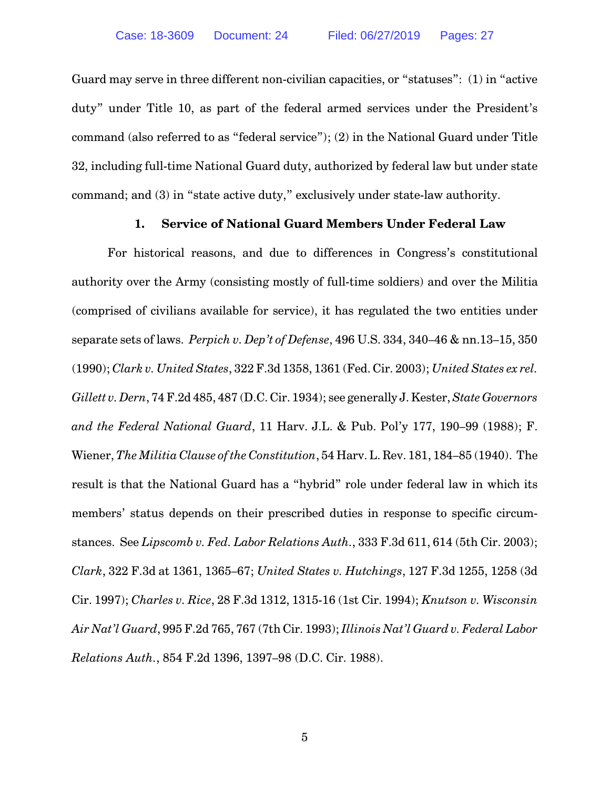Guard may serve in three different non-civilian capacities, or "statuses": (1) in "active duty" under Title 10, as part of the federal armed services under the President's command (also referred to as "federal service"); (2) in the National Guard under Title 32, including full-time National Guard duty, authorized by federal law but under state command; and (3) in "state active duty," exclusively under state-law authority.

#### **1. Service of National Guard Members Under Federal Law**

For historical reasons, and due to differences in Congress's constitutional authority over the Army (consisting mostly of full-time soldiers) and over the Militia (comprised of civilians available for service), it has regulated the two entities under separate sets of laws. *Perpich v. Dep't of Defense*, 496 U.S. 334, 340–46 & nn.13–15, 350 (1990); *Clark v. United States*, 322 F.3d 1358, 1361 (Fed. Cir. 2003); *United States ex rel. Gillett v.Dern*, 74 F.2d 485, 487 (D.C.Cir. 1934); see generally J. Kester, *State Governors and the Federal National Guard*, 11 Harv. J.L. & Pub. Pol'y 177, 190–99 (1988); F. Wiener, *The Militia Clause of the Constitution*, 54 Harv. L. Rev. 181, 184–85 (1940). The result is that the National Guard has a "hybrid" role under federal law in which its members' status depends on their prescribed duties in response to specific circumstances. See *Lipscomb v. Fed. Labor Relations Auth.*, 333 F.3d 611, 614 (5th Cir. 2003); *Clark*, 322 F.3d at 1361, 1365–67; *United States v. Hutchings*, 127 F.3d 1255, 1258 (3d Cir. 1997); *Charles v. Rice*, 28 F.3d 1312, 1315-16 (1st Cir. 1994); *Knutson v. Wisconsin Air Nat'l Guard*, 995 F.2d 765, 767 (7th Cir. 1993); *Illinois Nat'l Guard v. Federal Labor Relations Auth.*, 854 F.2d 1396, 1397–98 (D.C. Cir. 1988).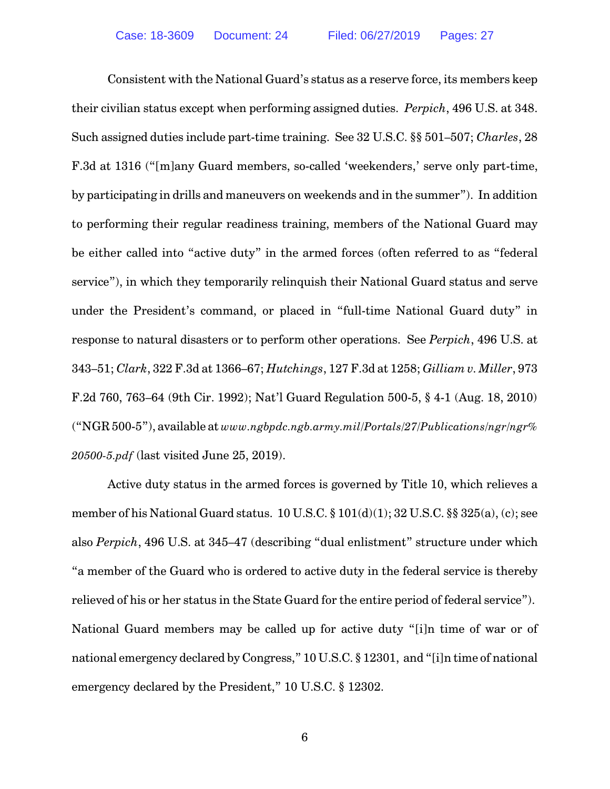Consistent with the National Guard's status as a reserve force, its members keep their civilian status except when performing assigned duties. *Perpich*, 496 U.S. at 348. Such assigned duties include part-time training. See 32 U.S.C. §§ 501–507; *Charles*, 28 F.3d at 1316 ("[m]any Guard members, so-called 'weekenders,' serve only part-time, by participating in drills and maneuvers on weekends and in the summer"). In addition to performing their regular readiness training, members of the National Guard may be either called into "active duty" in the armed forces (often referred to as "federal service"), in which they temporarily relinquish their National Guard status and serve under the President's command, or placed in "full-time National Guard duty" in response to natural disasters or to perform other operations. See *Perpich*, 496 U.S. at 343–51; *Clark*, 322 F.3d at 1366–67; *Hutchings*, 127 F.3d at 1258; *Gilliam v. Miller*, 973 F.2d 760, 763–64 (9th Cir. 1992); Nat'l Guard Regulation 500-5, § 4-1 (Aug. 18, 2010) ("NGR 500-5"), available at *www.ngbpdc.ngb.army.mil/Portals/27/Publications/ngr/ngr% 20500-5.pdf* (last visited June 25, 2019).

Active duty status in the armed forces is governed by Title 10, which relieves a member of his National Guard status.  $10$  U.S.C.  $\S 101(d)(1)$ ;  $32$  U.S.C.  $\S \ \ 325(a)$ , (c); see also *Perpich*, 496 U.S. at 345–47 (describing "dual enlistment" structure under which "a member of the Guard who is ordered to active duty in the federal service is thereby relieved of his or her status in the State Guard for the entire period of federal service"). National Guard members may be called up for active duty "[i]n time of war or of national emergency declared by Congress," 10 U.S.C. § 12301, and "[i]n time of national emergency declared by the President," 10 U.S.C. § 12302.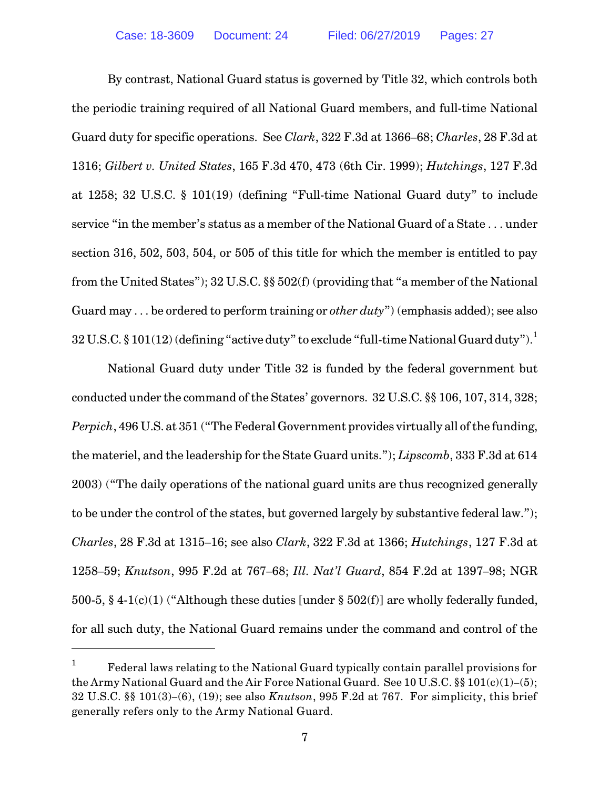By contrast, National Guard status is governed by Title 32, which controls both the periodic training required of all National Guard members, and full-time National Guard duty for specific operations. See *Clark*, 322 F.3d at 1366–68; *Charles*, 28 F.3d at 1316; *Gilbert v. United States*, 165 F.3d 470, 473 (6th Cir. 1999); *Hutchings*, 127 F.3d at 1258; 32 U.S.C. § 101(19) (defining "Full-time National Guard duty" to include service "in the member's status as a member of the National Guard of a State . . . under section 316, 502, 503, 504, or 505 of this title for which the member is entitled to pay from the United States"); 32 U.S.C. §§ 502(f) (providing that "a member of the National Guard may . . . be ordered to perform training or *other duty*") (emphasis added); see also  $32$  U.S.C. § 101(12) (defining "active duty" to exclude "full-time National Guard duty").<sup>1</sup>

National Guard duty under Title 32 is funded by the federal government but conducted under the command of the States' governors. 32 U.S.C. §§ 106, 107, 314, 328; *Perpich*, 496 U.S. at 351 ("The Federal Government provides virtually all of the funding, the materiel, and the leadership for the State Guard units."); *Lipscomb*, 333 F.3d at 614 2003) ("The daily operations of the national guard units are thus recognized generally to be under the control of the states, but governed largely by substantive federal law."); *Charles*, 28 F.3d at 1315–16; see also *Clark*, 322 F.3d at 1366; *Hutchings*, 127 F.3d at 1258–59; *Knutson*, 995 F.2d at 767–68; *Ill. Nat'l Guard*, 854 F.2d at 1397–98; NGR 500-5, § 4-1(c)(1) ("Although these duties [under § 502(f)] are wholly federally funded, for all such duty, the National Guard remains under the command and control of the

<sup>1</sup> Federal laws relating to the National Guard typically contain parallel provisions for the Army National Guard and the Air Force National Guard. See 10 U.S.C. §§ 101(c)(1)–(5); 32 U.S.C. §§ 101(3)–(6), (19); see also *Knutson*, 995 F.2d at 767. For simplicity, this brief generally refers only to the Army National Guard.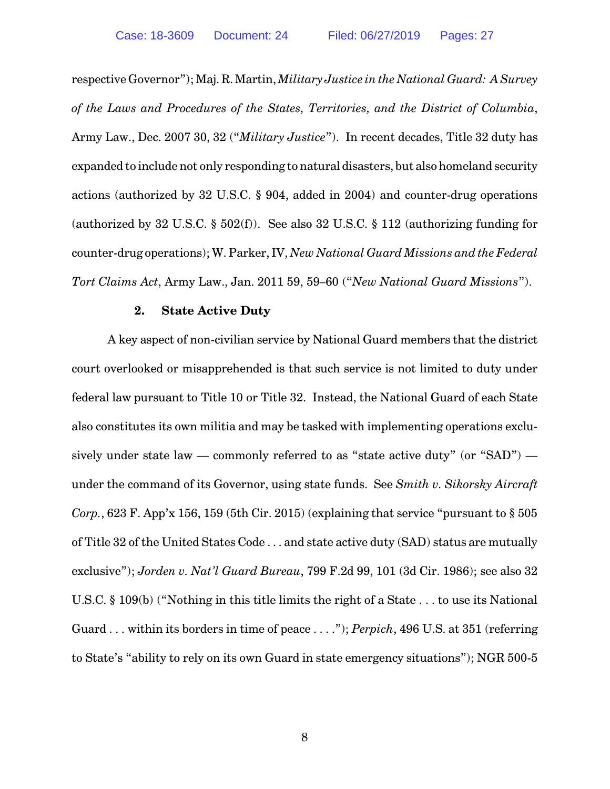respective Governor"); Maj. R. Martin, *Military Justice in the National Guard: A Survey of the Laws and Procedures of the States, Territories, and the District of Columbia*, Army Law., Dec. 2007 30, 32 ("*Military Justice*"). In recent decades, Title 32 duty has expanded to include not only responding to natural disasters, but also homeland security actions (authorized by 32 U.S.C. § 904, added in 2004) and counter-drug operations (authorized by 32 U.S.C. § 502(f)). See also 32 U.S.C. § 112 (authorizing funding for counter-drug operations); W. Parker, IV, *New National Guard Missions and the Federal Tort Claims Act*, Army Law., Jan. 2011 59, 59–60 ("*New National Guard Missions*").

#### **2. State Active Duty**

A key aspect of non-civilian service by National Guard members that the district court overlooked or misapprehended is that such service is not limited to duty under federal law pursuant to Title 10 or Title 32. Instead, the National Guard of each State also constitutes its own militia and may be tasked with implementing operations exclusively under state law — commonly referred to as "state active duty" (or "SAD") under the command of its Governor, using state funds. See *Smith v. Sikorsky Aircraft Corp.*, 623 F. App'x 156, 159 (5th Cir. 2015) (explaining that service "pursuant to § 505 of Title 32 of the United States Code . . . and state active duty (SAD) status are mutually exclusive"); *Jorden v. Nat'l Guard Bureau*, 799 F.2d 99, 101 (3d Cir. 1986); see also 32 U.S.C. § 109(b) ("Nothing in this title limits the right of a State . . . to use its National Guard . . . within its borders in time of peace . . . ."); *Perpich*, 496 U.S. at 351 (referring to State's "ability to rely on its own Guard in state emergency situations"); NGR 500-5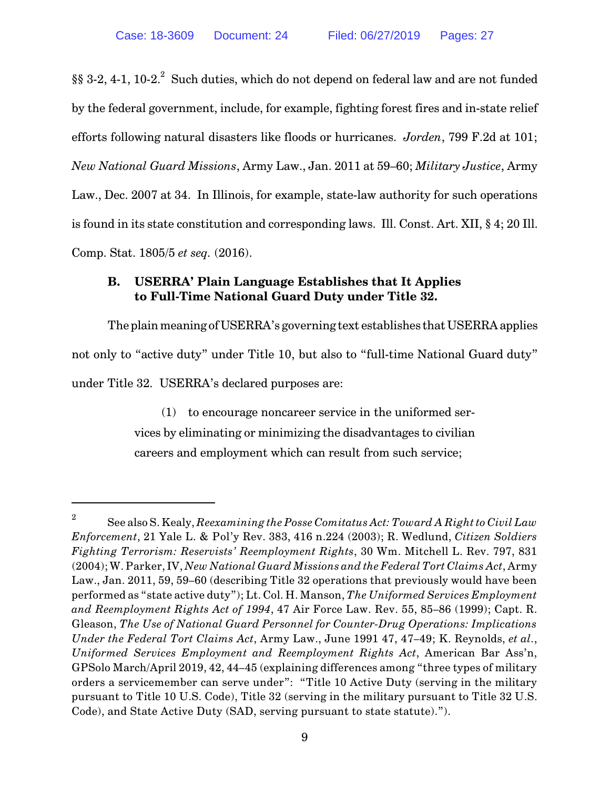$\S$ § 3-2, 4-1, 10-2. $^2$  Such duties, which do not depend on federal law and are not funded by the federal government, include, for example, fighting forest fires and in-state relief efforts following natural disasters like floods or hurricanes. *Jorden*, 799 F.2d at 101; *New National Guard Missions*, Army Law., Jan. 2011 at 59–60; *Military Justice*, Army Law., Dec. 2007 at 34. In Illinois, for example, state-law authority for such operations is found in its state constitution and corresponding laws. Ill. Const. Art. XII, § 4; 20 Ill. Comp. Stat. 1805/5 *et seq.* (2016).

### **B. USERRA' Plain Language Establishes that It Applies to Full-Time National Guard Duty under Title 32.**

The plain meaning of USERRA's governing text establishes that USERRA applies not only to "active duty" under Title 10, but also to "full-time National Guard duty" under Title 32. USERRA's declared purposes are:

> (1) to encourage noncareer service in the uniformed services by eliminating or minimizing the disadvantages to civilian careers and employment which can result from such service;

<sup>2</sup> See also S. Kealy, *Reexamining the Posse Comitatus Act: Toward A Right to Civil Law Enforcement*, 21 Yale L. & Pol'y Rev. 383, 416 n.224 (2003); R. Wedlund, *Citizen Soldiers Fighting Terrorism: Reservists' Reemployment Rights*, 30 Wm. Mitchell L. Rev. 797, 831 (2004); W. Parker,IV, *New National Guard Missions and the Federal Tort Claims Act*, Army Law., Jan. 2011, 59, 59–60 (describing Title 32 operations that previously would have been performed as "state active duty"); Lt. Col. H. Manson, *The Uniformed Services Employment and Reemployment Rights Act of 1994*, 47 Air Force Law. Rev. 55, 85–86 (1999); Capt. R. Gleason, *The Use of National Guard Personnel for Counter-Drug Operations: Implications Under the Federal Tort Claims Act*, Army Law., June 1991 47, 47–49; K. Reynolds, *et al.*, *Uniformed Services Employment and Reemployment Rights Act*, American Bar Ass'n, GPSolo March/April 2019, 42, 44–45 (explaining differences among "three types of military orders a servicemember can serve under": "Title 10 Active Duty (serving in the military pursuant to Title 10 U.S. Code), Title 32 (serving in the military pursuant to Title 32 U.S. Code), and State Active Duty (SAD, serving pursuant to state statute).").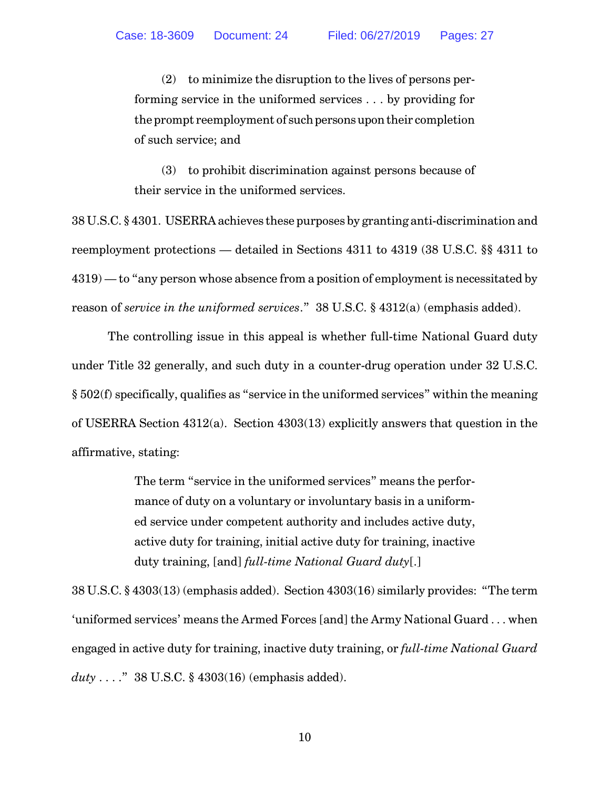(2) to minimize the disruption to the lives of persons performing service in the uniformed services . . . by providing for the prompt reemployment of such persons upon their completion of such service; and

(3) to prohibit discrimination against persons because of their service in the uniformed services.

38 U.S.C. § 4301. USERRA achieves these purposes by granting anti-discrimination and reemployment protections — detailed in Sections 4311 to 4319 (38 U.S.C. §§ 4311 to 4319) — to "any person whose absence from a position of employment is necessitated by reason of *service in the uniformed services*." 38 U.S.C. § 4312(a) (emphasis added).

The controlling issue in this appeal is whether full-time National Guard duty under Title 32 generally, and such duty in a counter-drug operation under 32 U.S.C. § 502(f) specifically, qualifies as "service in the uniformed services" within the meaning of USERRA Section 4312(a). Section 4303(13) explicitly answers that question in the affirmative, stating:

> The term "service in the uniformed services" means the performance of duty on a voluntary or involuntary basis in a uniformed service under competent authority and includes active duty, active duty for training, initial active duty for training, inactive duty training, [and] *full-time National Guard duty*[.]

38 U.S.C. § 4303(13) (emphasis added). Section 4303(16) similarly provides: "The term 'uniformed services' means the Armed Forces [and] the Army National Guard . . . when engaged in active duty for training, inactive duty training, or *full-time National Guard duty* . . . ." 38 U.S.C. § 4303(16) (emphasis added).

10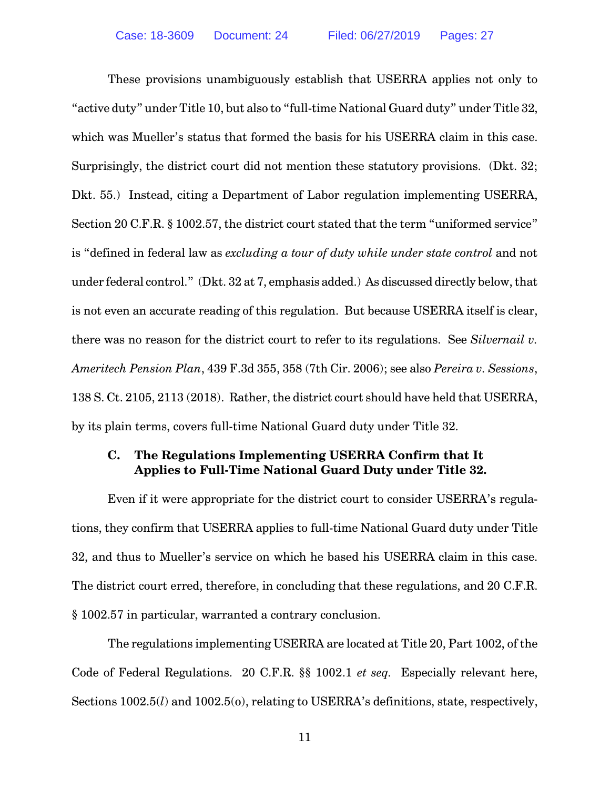These provisions unambiguously establish that USERRA applies not only to "active duty" under Title 10, but also to "full-time National Guard duty" under Title 32, which was Mueller's status that formed the basis for his USERRA claim in this case. Surprisingly, the district court did not mention these statutory provisions. (Dkt. 32; Dkt. 55.) Instead, citing a Department of Labor regulation implementing USERRA, Section 20 C.F.R. § 1002.57, the district court stated that the term "uniformed service" is "defined in federal law as *excluding a tour of duty while under state control* and not under federal control." (Dkt. 32 at 7, emphasis added.) As discussed directly below, that is not even an accurate reading of this regulation. But because USERRA itself is clear, there was no reason for the district court to refer to its regulations. See *Silvernail v. Ameritech Pension Plan*, 439 F.3d 355, 358 (7th Cir. 2006); see also *Pereira v. Sessions*, 138 S. Ct. 2105, 2113 (2018). Rather, the district court should have held that USERRA, by its plain terms, covers full-time National Guard duty under Title 32.

## **C. The Regulations Implementing USERRA Confirm that It Applies to Full-Time National Guard Duty under Title 32.**

Even if it were appropriate for the district court to consider USERRA's regulations, they confirm that USERRA applies to full-time National Guard duty under Title 32, and thus to Mueller's service on which he based his USERRA claim in this case. The district court erred, therefore, in concluding that these regulations, and 20 C.F.R. § 1002.57 in particular, warranted a contrary conclusion.

The regulations implementing USERRA are located at Title 20, Part 1002, of the Code of Federal Regulations. 20 C.F.R. §§ 1002.1 *et seq.* Especially relevant here, Sections  $1002.5(l)$  and  $1002.5(0)$ , relating to USERRA's definitions, state, respectively,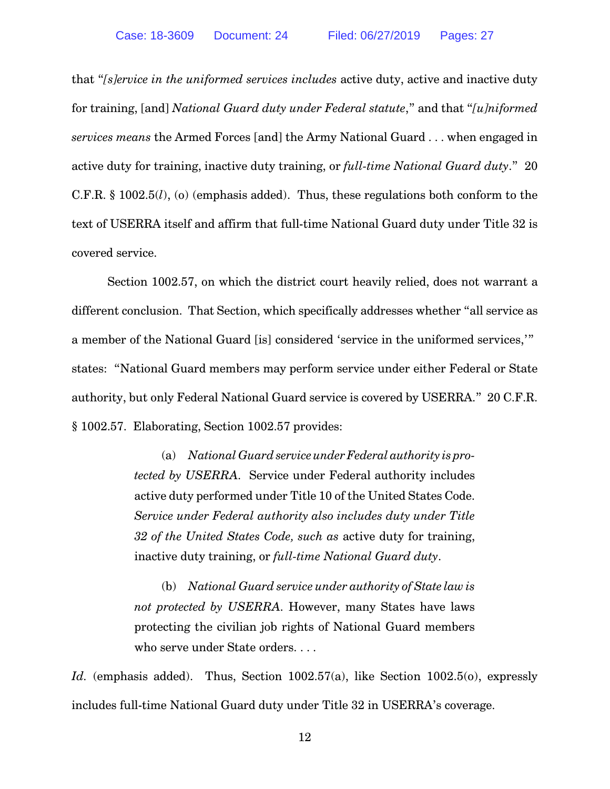that "*[s]ervice in the uniformed services includes* active duty, active and inactive duty for training, [and] *National Guard duty under Federal statute*," and that "*[u]niformed services means* the Armed Forces [and] the Army National Guard . . . when engaged in active duty for training, inactive duty training, or *full-time National Guard duty*." 20 C.F.R. § 1002.5(*l*), (o) (emphasis added). Thus, these regulations both conform to the text of USERRA itself and affirm that full-time National Guard duty under Title 32 is covered service.

Section 1002.57, on which the district court heavily relied, does not warrant a different conclusion. That Section, which specifically addresses whether "all service as a member of the National Guard [is] considered 'service in the uniformed services,'" states: "National Guard members may perform service under either Federal or State authority, but only Federal National Guard service is covered by USERRA." 20 C.F.R. § 1002.57. Elaborating, Section 1002.57 provides:

> (a) *National Guard service underFederal authority is protected by USERRA*. Service under Federal authority includes active duty performed under Title 10 of the United States Code. *Service under Federal authority also includes duty under Title 32 of the United States Code, such as* active duty for training, inactive duty training, or *full-time National Guard duty*.

> (b) *National Guard service under authority of State law is not protected by USERRA*. However, many States have laws protecting the civilian job rights of National Guard members who serve under State orders. . . .

Id. (emphasis added). Thus, Section 1002.57(a), like Section 1002.5(o), expressly includes full-time National Guard duty under Title 32 in USERRA's coverage.

12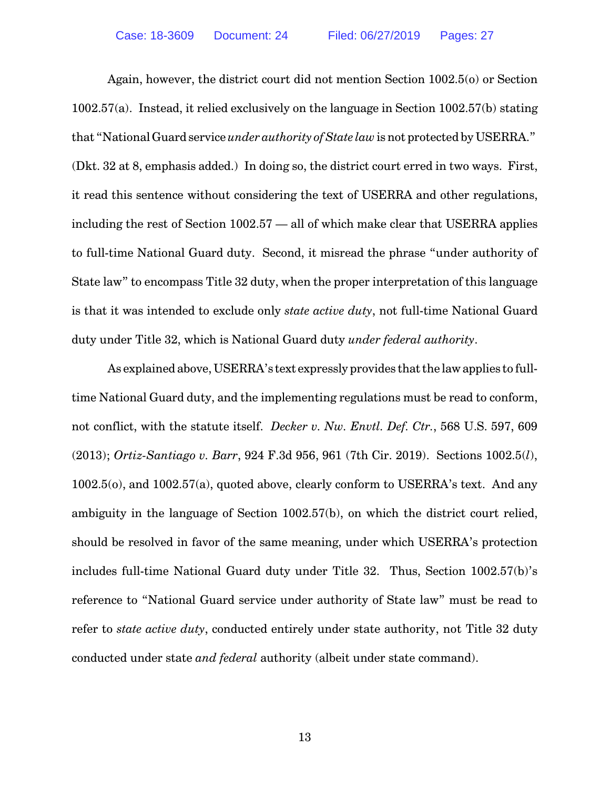Again, however, the district court did not mention Section 1002.5(o) or Section 1002.57(a). Instead, it relied exclusively on the language in Section 1002.57(b) stating that "National Guard service *under authority of State law* is not protected by USERRA." (Dkt. 32 at 8, emphasis added.) In doing so, the district court erred in two ways. First, it read this sentence without considering the text of USERRA and other regulations, including the rest of Section 1002.57 — all of which make clear that USERRA applies to full-time National Guard duty. Second, it misread the phrase "under authority of State law" to encompass Title 32 duty, when the proper interpretation of this language is that it was intended to exclude only *state active duty*, not full-time National Guard duty under Title 32, which is National Guard duty *under federal authority*.

As explained above, USERRA's text expressly provides that the law applies to fulltime National Guard duty, and the implementing regulations must be read to conform, not conflict, with the statute itself. *Decker v. Nw. Envtl. Def. Ctr.*, 568 U.S. 597, 609 (2013); *Ortiz-Santiago v. Barr*, 924 F.3d 956, 961 (7th Cir. 2019). Sections 1002.5(*l*), 1002.5(o), and 1002.57(a), quoted above, clearly conform to USERRA's text. And any ambiguity in the language of Section 1002.57(b), on which the district court relied, should be resolved in favor of the same meaning, under which USERRA's protection includes full-time National Guard duty under Title 32. Thus, Section 1002.57(b)'s reference to "National Guard service under authority of State law" must be read to refer to *state active duty*, conducted entirely under state authority, not Title 32 duty conducted under state *and federal* authority (albeit under state command).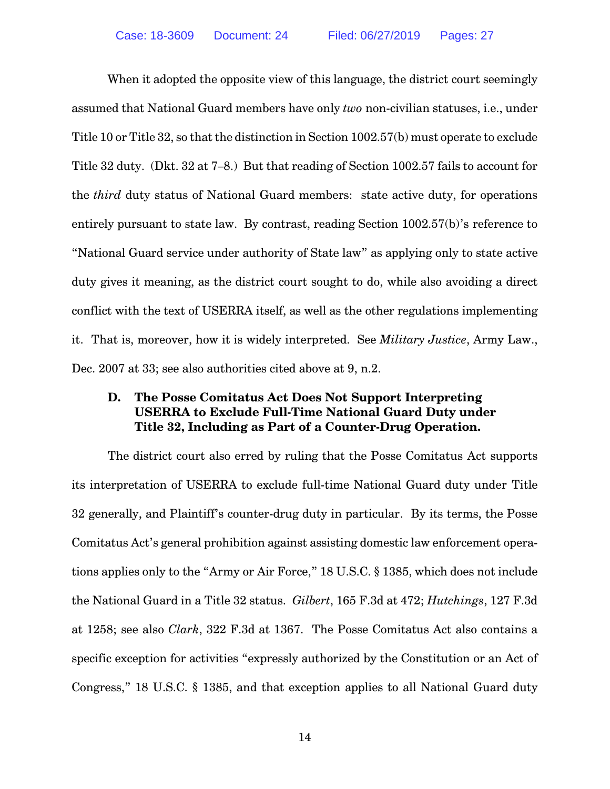When it adopted the opposite view of this language, the district court seemingly assumed that National Guard members have only *two* non-civilian statuses, i.e., under Title 10 or Title 32, so that the distinction in Section 1002.57(b) must operate to exclude Title 32 duty. (Dkt. 32 at 7–8.) But that reading of Section 1002.57 fails to account for the *third* duty status of National Guard members: state active duty, for operations entirely pursuant to state law. By contrast, reading Section 1002.57(b)'s reference to "National Guard service under authority of State law" as applying only to state active duty gives it meaning, as the district court sought to do, while also avoiding a direct conflict with the text of USERRA itself, as well as the other regulations implementing it. That is, moreover, how it is widely interpreted. See *Military Justice*, Army Law., Dec. 2007 at 33; see also authorities cited above at 9, n.2.

## **D. The Posse Comitatus Act Does Not Support Interpreting USERRA to Exclude Full-Time National Guard Duty under Title 32, Including as Part of a Counter-Drug Operation.**

The district court also erred by ruling that the Posse Comitatus Act supports its interpretation of USERRA to exclude full-time National Guard duty under Title 32 generally, and Plaintiff's counter-drug duty in particular. By its terms, the Posse Comitatus Act's general prohibition against assisting domestic law enforcement operations applies only to the "Army or Air Force," 18 U.S.C. § 1385, which does not include the National Guard in a Title 32 status. *Gilbert*, 165 F.3d at 472; *Hutchings*, 127 F.3d at 1258; see also *Clark*, 322 F.3d at 1367. The Posse Comitatus Act also contains a specific exception for activities "expressly authorized by the Constitution or an Act of Congress," 18 U.S.C. § 1385, and that exception applies to all National Guard duty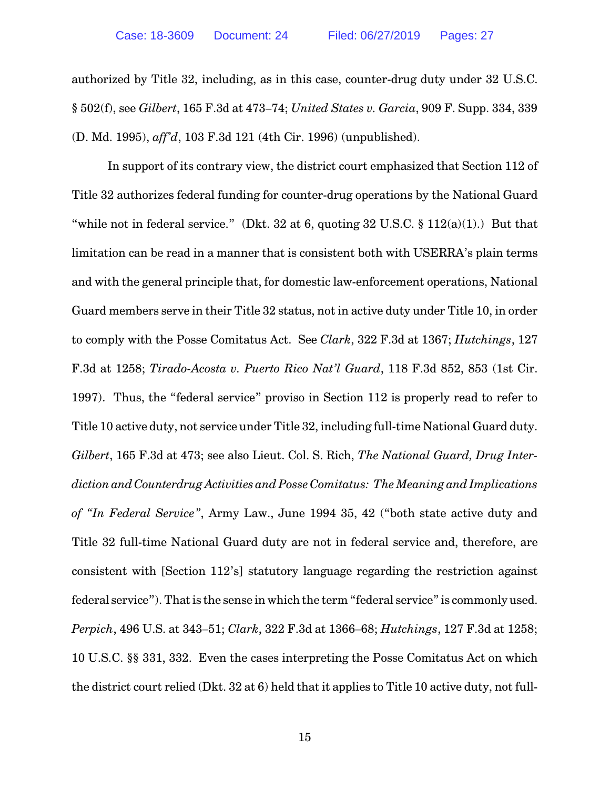authorized by Title 32, including, as in this case, counter-drug duty under 32 U.S.C. § 502(f), see *Gilbert*, 165 F.3d at 473–74; *United States v. Garcia*, 909 F. Supp. 334, 339 (D. Md. 1995), *aff'd*, 103 F.3d 121 (4th Cir. 1996) (unpublished).

In support of its contrary view, the district court emphasized that Section 112 of Title 32 authorizes federal funding for counter-drug operations by the National Guard "while not in federal service." (Dkt. 32 at 6, quoting 32 U.S.C. § 112(a)(1).) But that limitation can be read in a manner that is consistent both with USERRA's plain terms and with the general principle that, for domestic law-enforcement operations, National Guard members serve in their Title 32 status, not in active duty under Title 10, in order to comply with the Posse Comitatus Act. See *Clark*, 322 F.3d at 1367; *Hutchings*, 127 F.3d at 1258; *Tirado-Acosta v. Puerto Rico Nat'l Guard*, 118 F.3d 852, 853 (1st Cir. 1997). Thus, the "federal service" proviso in Section 112 is properly read to refer to Title 10 active duty, not service under Title 32, including full-time National Guard duty. *Gilbert*, 165 F.3d at 473; see also Lieut. Col. S. Rich, *The National Guard, Drug Interdiction andCounterdrug Activities and Posse Comitatus: The Meaning and Implications of "In Federal Service"*, Army Law., June 1994 35, 42 ("both state active duty and Title 32 full-time National Guard duty are not in federal service and, therefore, are consistent with [Section 112's] statutory language regarding the restriction against federal service"). That is the sense in which the term "federal service" is commonly used. *Perpich*, 496 U.S. at 343–51; *Clark*, 322 F.3d at 1366–68; *Hutchings*, 127 F.3d at 1258; 10 U.S.C. §§ 331, 332. Even the cases interpreting the Posse Comitatus Act on which the district court relied (Dkt. 32 at 6) held that it applies to Title 10 active duty, not full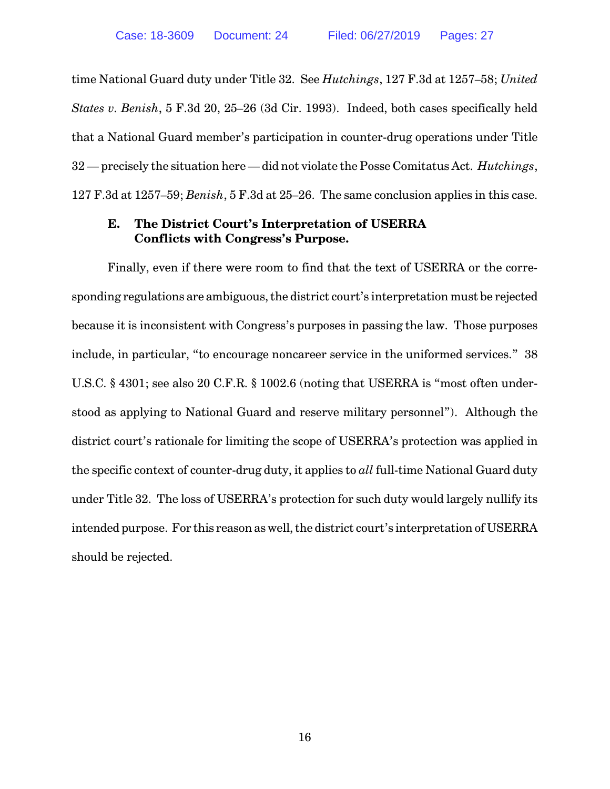time National Guard duty under Title 32. See *Hutchings*, 127 F.3d at 1257–58; *United States v. Benish*, 5 F.3d 20, 25–26 (3d Cir. 1993). Indeed, both cases specifically held that a National Guard member's participation in counter-drug operations under Title 32 — precisely the situation here — did not violate the Posse Comitatus Act. *Hutchings*, 127 F.3d at 1257–59; *Benish*, 5 F.3d at 25–26. The same conclusion applies in this case.

## **E. The District Court's Interpretation of USERRA Conflicts with Congress's Purpose.**

Finally, even if there were room to find that the text of USERRA or the corresponding regulations are ambiguous, the district court's interpretation must be rejected because it is inconsistent with Congress's purposes in passing the law. Those purposes include, in particular, "to encourage noncareer service in the uniformed services." 38 U.S.C. § 4301; see also 20 C.F.R. § 1002.6 (noting that USERRA is "most often understood as applying to National Guard and reserve military personnel"). Although the district court's rationale for limiting the scope of USERRA's protection was applied in the specific context of counter-drug duty, it applies to *all* full-time National Guard duty under Title 32. The loss of USERRA's protection for such duty would largely nullify its intended purpose. For this reason as well, the district court's interpretation of USERRA should be rejected.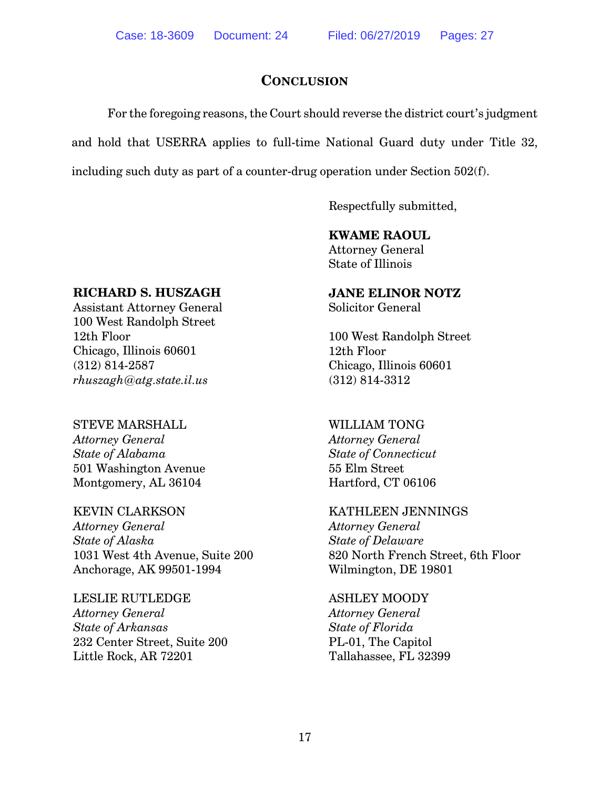## **CONCLUSION**

For the foregoing reasons, the Court should reverse the district court's judgment and hold that USERRA applies to full-time National Guard duty under Title 32, including such duty as part of a counter-drug operation under Section 502(f).

Respectfully submitted,

## **KWAME RAOUL**

Attorney General State of Illinois

## **RICHARD S. HUSZAGH**

Assistant Attorney General 100 West Randolph Street 12th Floor Chicago, Illinois 60601 (312) 814-2587 *rhuszagh@atg.state.il.us*

# STEVE MARSHALL

*Attorney General State of Alabama* 501 Washington Avenue Montgomery, AL 36104

## KEVIN CLARKSON

*Attorney General State of Alaska* 1031 West 4th Avenue, Suite 200 Anchorage, AK 99501-1994

### LESLIE RUTLEDGE *Attorney General State of Arkansas* 232 Center Street, Suite 200 Little Rock, AR 72201

# **JANE ELINOR NOTZ**

Solicitor General

100 West Randolph Street 12th Floor Chicago, Illinois 60601 (312) 814-3312

## WILLIAM TONG *Attorney General State of Connecticut* 55 Elm Street

Hartford, CT 06106

## KATHLEEN JENNINGS

*Attorney General State of Delaware* 820 North French Street, 6th Floor Wilmington, DE 19801

## ASHLEY MOODY

*Attorney General State of Florida* PL-01, The Capitol Tallahassee, FL 32399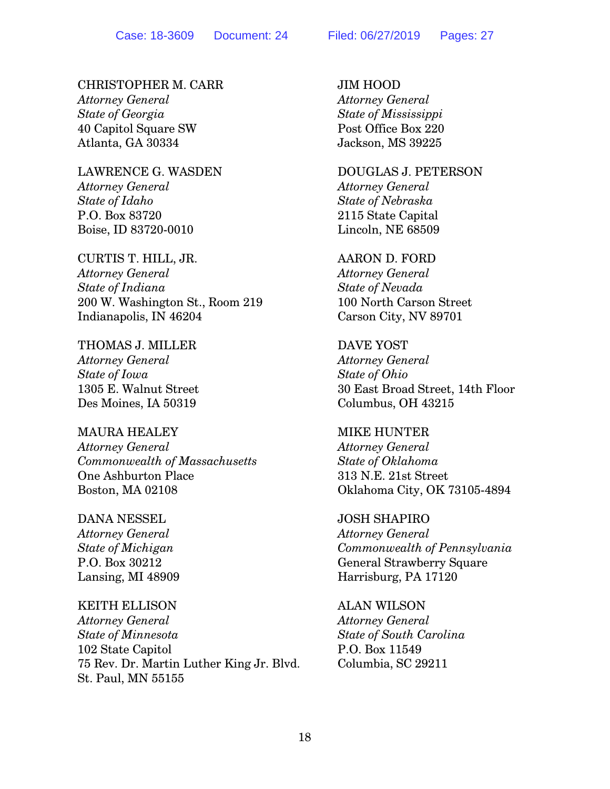## CHRISTOPHER M. CARR

*Attorney General State of Georgia* 40 Capitol Square SW Atlanta, GA 30334

LAWRENCE G. WASDEN *Attorney General State of Idaho* P.O. Box 83720 Boise, ID 83720-0010

CURTIS T. HILL, JR. *Attorney General State of Indiana* 200 W. Washington St., Room 219 Indianapolis, IN 46204

THOMAS J. MILLER *Attorney General State of Iowa* 1305 E. Walnut Street Des Moines, IA 50319

### MAURA HEALEY

*Attorney General Commonwealth of Massachusetts* One Ashburton Place Boston, MA 02108

#### DANA NESSEL

*Attorney General State of Michigan* P.O. Box 30212 Lansing, MI 48909

### KEITH ELLISON

*Attorney General State of Minnesota* 102 State Capitol 75 Rev. Dr. Martin Luther King Jr. Blvd. St. Paul, MN 55155

JIM HOOD *Attorney General State of Mississippi* Post Office Box 220 Jackson, MS 39225

## DOUGLAS J. PETERSON

*Attorney General State of Nebraska* 2115 State Capital Lincoln, NE 68509

### AARON D. FORD

*Attorney General State of Nevada* 100 North Carson Street Carson City, NV 89701

DAVE YOST *Attorney General State of Ohio* 30 East Broad Street, 14th Floor Columbus, OH 43215

#### MIKE HUNTER

*Attorney General State of Oklahoma* 313 N.E. 21st Street Oklahoma City, OK 73105-4894

#### JOSH SHAPIRO

*Attorney General Commonwealth of Pennsylvania* General Strawberry Square Harrisburg, PA 17120

ALAN WILSON

*Attorney General State of South Carolina* P.O. Box 11549 Columbia, SC 29211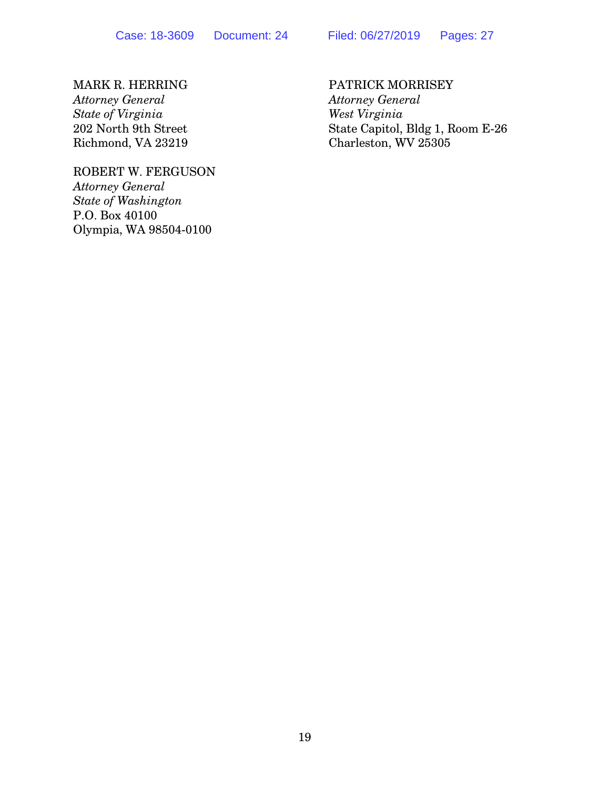MARK R. HERRING *Attorney General State of Virginia* 202 North 9th Street Richmond, VA 23219

ROBERT W. FERGUSON *Attorney General State of Washington* P.O. Box 40100 Olympia, WA 98504-0100

PATRICK MORRISEY *Attorney General West Virginia* State Capitol, Bldg 1, Room E-26 Charleston, WV 25305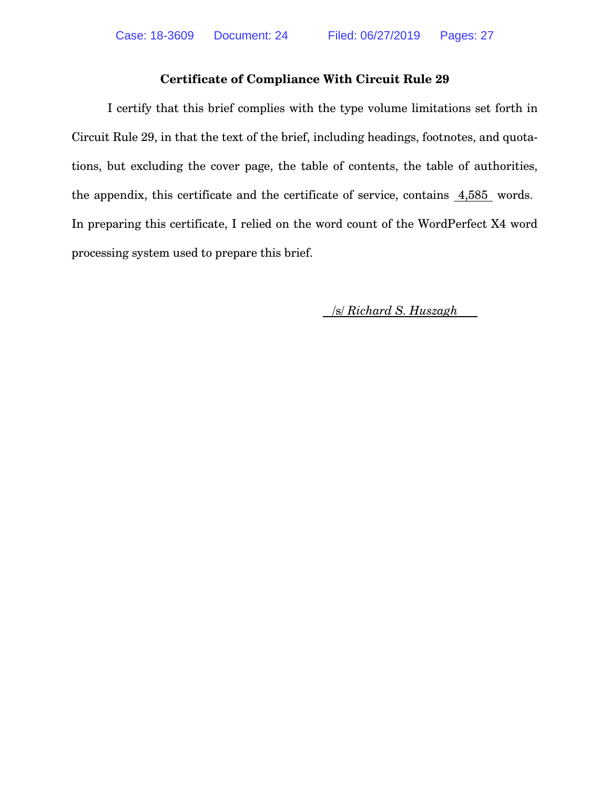## **Certificate of Compliance With Circuit Rule 29**

I certify that this brief complies with the type volume limitations set forth in Circuit Rule 29, in that the text of the brief, including headings, footnotes, and quotations, but excluding the cover page, the table of contents, the table of authorities, the appendix, this certificate and the certificate of service, contains 4,585 words. In preparing this certificate, I relied on the word count of the WordPerfect X4 word processing system used to prepare this brief.

/s/ *Richard S. Huszagh*